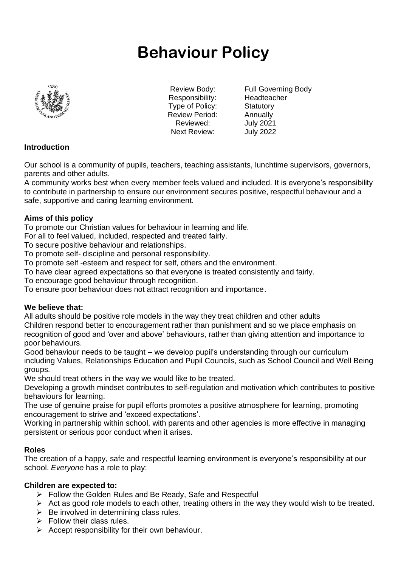# **Behaviour Policy**



Responsibility: Headteacher Type of Policy: Statutory Review Period: Annually Reviewed: July 2021 Next Review: July 2022

Review Body: Full Governing Body

# **Introduction**

Our school is a community of pupils, teachers, teaching assistants, lunchtime supervisors, governors, parents and other adults.

A community works best when every member feels valued and included. It is everyone's responsibility to contribute in partnership to ensure our environment secures positive, respectful behaviour and a safe, supportive and caring learning environment.

# **Aims of this policy**

To promote our Christian values for behaviour in learning and life.

For all to feel valued, included, respected and treated fairly.

To secure positive behaviour and relationships.

To promote self- discipline and personal responsibility.

To promote self -esteem and respect for self, others and the environment.

To have clear agreed expectations so that everyone is treated consistently and fairly.

To encourage good behaviour through recognition.

To ensure poor behaviour does not attract recognition and importance.

# **We believe that:**

All adults should be positive role models in the way they treat children and other adults Children respond better to encouragement rather than punishment and so we place emphasis on recognition of good and 'over and above' behaviours, rather than giving attention and importance to poor behaviours.

Good behaviour needs to be taught – we develop pupil's understanding through our curriculum including Values, Relationships Education and Pupil Councils, such as School Council and Well Being groups.

We should treat others in the way we would like to be treated.

Developing a growth mindset contributes to self-regulation and motivation which contributes to positive behaviours for learning.

The use of genuine praise for pupil efforts promotes a positive atmosphere for learning, promoting encouragement to strive and 'exceed expectations'.

Working in partnership within school, with parents and other agencies is more effective in managing persistent or serious poor conduct when it arises.

# **Roles**

The creation of a happy, safe and respectful learning environment is everyone's responsibility at our school. *Everyone* has a role to play:

#### **Children are expected to:**

- ➢ Follow the Golden Rules and Be Ready, Safe and Respectful
- $\triangleright$  Act as good role models to each other, treating others in the way they would wish to be treated.
- $\triangleright$  Be involved in determining class rules.
- $\triangleright$  Follow their class rules.
- $\triangleright$  Accept responsibility for their own behaviour.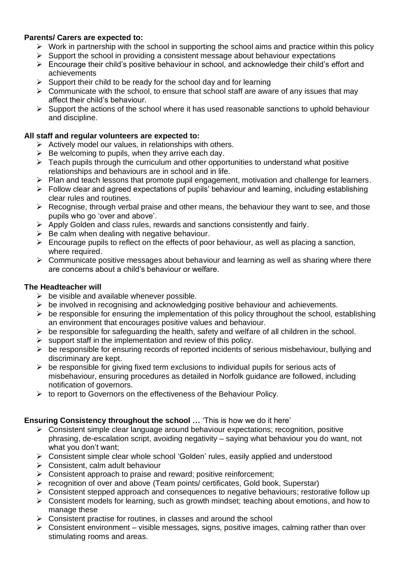# **Parents/ Carers are expected to:**

- $\triangleright$  Work in partnership with the school in supporting the school aims and practice within this policy
- $\triangleright$  Support the school in providing a consistent message about behaviour expectations
- ➢ Encourage their child's positive behaviour in school, and acknowledge their child's effort and achievements
- $\triangleright$  Support their child to be ready for the school day and for learning
- $\triangleright$  Communicate with the school, to ensure that school staff are aware of any issues that may affect their child's behaviour.
- $\triangleright$  Support the actions of the school where it has used reasonable sanctions to uphold behaviour and discipline.

# **All staff and regular volunteers are expected to:**

- $\triangleright$  Actively model our values, in relationships with others.
- $\triangleright$  Be welcoming to pupils, when they arrive each day.
- $\triangleright$  Teach pupils through the curriculum and other opportunities to understand what positive relationships and behaviours are in school and in life.
- ➢ Plan and teach lessons that promote pupil engagement, motivation and challenge for learners.
- $\triangleright$  Follow clear and agreed expectations of pupils' behaviour and learning, including establishing clear rules and routines.
- $\triangleright$  Recognise, through verbal praise and other means, the behaviour they want to see, and those pupils who go 'over and above'.
- ➢ Apply Golden and class rules, rewards and sanctions consistently and fairly.
- $\triangleright$  Be calm when dealing with negative behaviour.
- $\triangleright$  Encourage pupils to reflect on the effects of poor behaviour, as well as placing a sanction, where required.
- $\triangleright$  Communicate positive messages about behaviour and learning as well as sharing where there are concerns about a child's behaviour or welfare.

# **The Headteacher will**

- $\triangleright$  be visible and available whenever possible.
- $\triangleright$  be involved in recognising and acknowledging positive behaviour and achievements.
- $\triangleright$  be responsible for ensuring the implementation of this policy throughout the school, establishing an environment that encourages positive values and behaviour.
- $\triangleright$  be responsible for safeguarding the health, safety and welfare of all children in the school.
- $\triangleright$  support staff in the implementation and review of this policy.
- $\triangleright$  be responsible for ensuring records of reported incidents of serious misbehaviour, bullying and discriminary are kept.
- $\triangleright$  be responsible for giving fixed term exclusions to individual pupils for serious acts of misbehaviour, ensuring procedures as detailed in Norfolk guidance are followed, including notification of governors.
- ➢ to report to Governors on the effectiveness of the Behaviour Policy.

# **Ensuring Consistency throughout the school …** 'This is how we do it here'

- ➢ Consistent simple clear language around behaviour expectations; recognition, positive phrasing, de-escalation script, avoiding negativity – saying what behaviour you do want, not what you don't want;
- ➢ Consistent simple clear whole school 'Golden' rules, easily applied and understood
- ➢ Consistent, calm adult behaviour
- $\triangleright$  Consistent approach to praise and reward; positive reinforcement;
- ➢ recognition of over and above (Team points/ certificates, Gold book, Superstar)
- ➢ Consistent stepped approach and consequences to negative behaviours; restorative follow up  $\triangleright$  Consistent models for learning, such as growth mindset; teaching about emotions, and how to
- manage these ➢ Consistent practise for routines, in classes and around the school
- $\triangleright$  Consistent environment visible messages, signs, positive images, calming rather than over stimulating rooms and areas.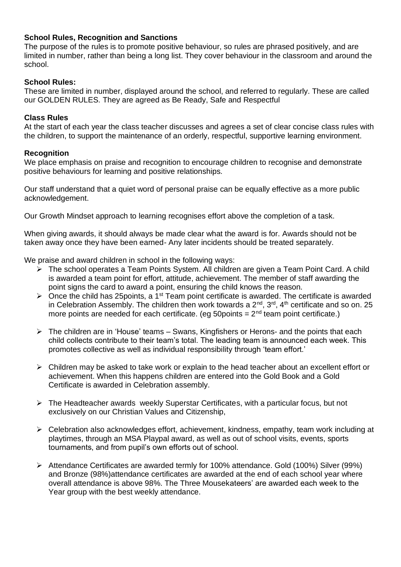# **School Rules, Recognition and Sanctions**

The purpose of the rules is to promote positive behaviour, so rules are phrased positively, and are limited in number, rather than being a long list. They cover behaviour in the classroom and around the school.

#### **School Rules:**

These are limited in number, displayed around the school, and referred to regularly. These are called our GOLDEN RULES. They are agreed as Be Ready, Safe and Respectful

#### **Class Rules**

At the start of each year the class teacher discusses and agrees a set of clear concise class rules with the children, to support the maintenance of an orderly, respectful, supportive learning environment.

#### **Recognition**

We place emphasis on praise and recognition to encourage children to recognise and demonstrate positive behaviours for learning and positive relationships.

Our staff understand that a quiet word of personal praise can be equally effective as a more public acknowledgement.

Our Growth Mindset approach to learning recognises effort above the completion of a task.

When giving awards, it should always be made clear what the award is for. Awards should not be taken away once they have been earned- Any later incidents should be treated separately.

We praise and award children in school in the following ways:

- ➢ The school operates a Team Points System. All children are given a Team Point Card. A child is awarded a team point for effort, attitude, achievement. The member of staff awarding the point signs the card to award a point, ensuring the child knows the reason.
- $\triangleright$  Once the child has 25 points, a 1<sup>st</sup> Team point certificate is awarded. The certificate is awarded in Celebration Assembly. The children then work towards a  $2^{nd}$ ,  $3^{rd}$ ,  $4^{th}$  certificate and so on. 25 more points are needed for each certificate. (eg 50 points =  $2<sup>nd</sup>$  team point certificate.)
- ➢ The children are in 'House' teams Swans, Kingfishers or Herons- and the points that each child collects contribute to their team's total. The leading team is announced each week. This promotes collective as well as individual responsibility through 'team effort.'
- ➢ Children may be asked to take work or explain to the head teacher about an excellent effort or achievement. When this happens children are entered into the Gold Book and a Gold Certificate is awarded in Celebration assembly.
- ➢ The Headteacher awards weekly Superstar Certificates, with a particular focus, but not exclusively on our Christian Values and Citizenship,
- ➢ Celebration also acknowledges effort, achievement, kindness, empathy, team work including at playtimes, through an MSA Playpal award, as well as out of school visits, events, sports tournaments, and from pupil's own efforts out of school.
- ➢ Attendance Certificates are awarded termly for 100% attendance. Gold (100%) Silver (99%) and Bronze (98%)attendance certificates are awarded at the end of each school year where overall attendance is above 98%. The Three Mousekateers' are awarded each week to the Year group with the best weekly attendance.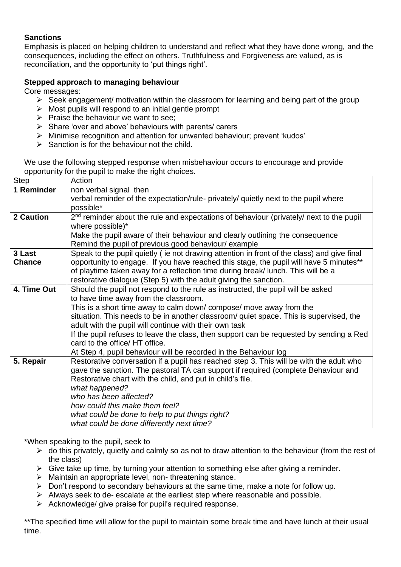# **Sanctions**

Emphasis is placed on helping children to understand and reflect what they have done wrong, and the consequences, including the effect on others. Truthfulness and Forgiveness are valued, as is reconciliation, and the opportunity to 'put things right'.

# **Stepped approach to managing behaviour**

Core messages:

- $\triangleright$  Seek engagement/ motivation within the classroom for learning and being part of the group
- $\triangleright$  Most pupils will respond to an initial gentle prompt
- $\triangleright$  Praise the behaviour we want to see;
- ➢ Share 'over and above' behaviours with parents/ carers
- ➢ Minimise recognition and attention for unwanted behaviour; prevent 'kudos'
- $\triangleright$  Sanction is for the behaviour not the child.

We use the following stepped response when misbehaviour occurs to encourage and provide opportunity for the pupil to make the right choices.

| <b>Step</b>   | Action                                                                                              |
|---------------|-----------------------------------------------------------------------------------------------------|
| 1 Reminder    | non verbal signal then                                                                              |
|               | verbal reminder of the expectation/rule- privately/ quietly next to the pupil where                 |
|               | possible*                                                                                           |
| 2 Caution     | 2 <sup>nd</sup> reminder about the rule and expectations of behaviour (privately/ next to the pupil |
|               | where possible)*                                                                                    |
|               | Make the pupil aware of their behaviour and clearly outlining the consequence                       |
|               | Remind the pupil of previous good behaviour/ example                                                |
| 3 Last        | Speak to the pupil quietly (ie not drawing attention in front of the class) and give final          |
| <b>Chance</b> | opportunity to engage. If you have reached this stage, the pupil will have 5 minutes**              |
|               | of playtime taken away for a reflection time during break/ lunch. This will be a                    |
|               | restorative dialogue (Step 5) with the adult giving the sanction.                                   |
| 4. Time Out   | Should the pupil not respond to the rule as instructed, the pupil will be asked                     |
|               | to have time away from the classroom.                                                               |
|               | This is a short time away to calm down/compose/ move away from the                                  |
|               | situation. This needs to be in another classroom/ quiet space. This is supervised, the              |
|               | adult with the pupil will continue with their own task                                              |
|               | If the pupil refuses to leave the class, then support can be requested by sending a Red             |
|               | card to the office/ HT office.                                                                      |
|               | At Step 4, pupil behaviour will be recorded in the Behaviour log                                    |
| 5. Repair     | Restorative conversation if a pupil has reached step 3. This will be with the adult who             |
|               | gave the sanction. The pastoral TA can support if required (complete Behaviour and                  |
|               | Restorative chart with the child, and put in child's file.                                          |
|               | what happened?                                                                                      |
|               | who has been affected?                                                                              |
|               | how could this make them feel?                                                                      |
|               | what could be done to help to put things right?                                                     |
|               | what could be done differently next time?                                                           |

\*When speaking to the pupil, seek to

- $\triangleright$  do this privately, quietly and calmly so as not to draw attention to the behaviour (from the rest of the class)
- $\triangleright$  Give take up time, by turning your attention to something else after giving a reminder.
- ➢ Maintain an appropriate level, non- threatening stance.
- ➢ Don't respond to secondary behaviours at the same time, make a note for follow up.
- $\triangleright$  Always seek to de- escalate at the earliest step where reasonable and possible.
- ➢ Acknowledge/ give praise for pupil's required response.

\*\*The specified time will allow for the pupil to maintain some break time and have lunch at their usual time.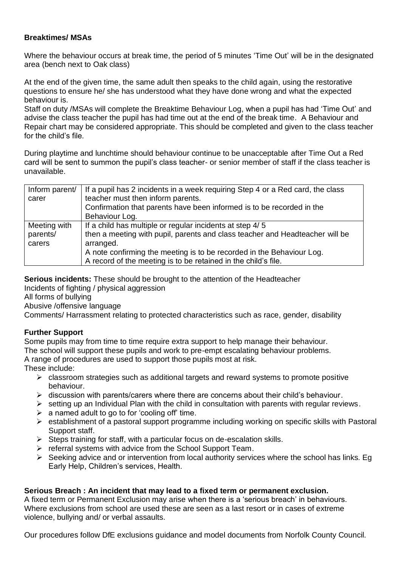# **Breaktimes/ MSAs**

Where the behaviour occurs at break time, the period of 5 minutes 'Time Out' will be in the designated area (bench next to Oak class)

At the end of the given time, the same adult then speaks to the child again, using the restorative questions to ensure he/ she has understood what they have done wrong and what the expected behaviour is.

Staff on duty /MSAs will complete the Breaktime Behaviour Log, when a pupil has had 'Time Out' and advise the class teacher the pupil has had time out at the end of the break time. A Behaviour and Repair chart may be considered appropriate. This should be completed and given to the class teacher for the child's file.

During playtime and lunchtime should behaviour continue to be unacceptable after Time Out a Red card will be sent to summon the pupil's class teacher- or senior member of staff if the class teacher is unavailable.

| Inform parent/ | If a pupil has 2 incidents in a week requiring Step 4 or a Red card, the class |
|----------------|--------------------------------------------------------------------------------|
| carer          | teacher must then inform parents.                                              |
|                | Confirmation that parents have been informed is to be recorded in the          |
|                | Behaviour Log.                                                                 |
| Meeting with   | If a child has multiple or regular incidents at step 4/5                       |
| parents/       | then a meeting with pupil, parents and class teacher and Headteacher will be   |
| carers         | arranged.                                                                      |
|                | A note confirming the meeting is to be recorded in the Behaviour Log.          |
|                | A record of the meeting is to be retained in the child's file.                 |

**Serious incidents:** These should be brought to the attention of the Headteacher

Incidents of fighting / physical aggression

All forms of bullying

Abusive /offensive language

Comments/ Harrassment relating to protected characteristics such as race, gender, disability

# **Further Support**

Some pupils may from time to time require extra support to help manage their behaviour. The school will support these pupils and work to pre-empt escalating behaviour problems.

A range of procedures are used to support those pupils most at risk.

These include:

- $\triangleright$  classroom strategies such as additional targets and reward systems to promote positive behaviour.
- $\triangleright$  discussion with parents/carers where there are concerns about their child's behaviour.
- $\triangleright$  setting up an Individual Plan with the child in consultation with parents with regular reviews.
- $\triangleright$  a named adult to go to for 'cooling off' time.
- ➢ establishment of a pastoral support programme including working on specific skills with Pastoral Support staff.
- ➢ Steps training for staff, with a particular focus on de-escalation skills.
- $\triangleright$  referral systems with advice from the School Support Team.
- $\triangleright$  Seeking advice and or intervention from local authority services where the school has links. Eq Early Help, Children's services, Health.

#### **Serious Breach : An incident that may lead to a fixed term or permanent exclusion.**

A fixed term or Permanent Exclusion may arise when there is a 'serious breach' in behaviours. Where exclusions from school are used these are seen as a last resort or in cases of extreme violence, bullying and/ or verbal assaults.

Our procedures follow DfE exclusions guidance and model documents from Norfolk County Council.